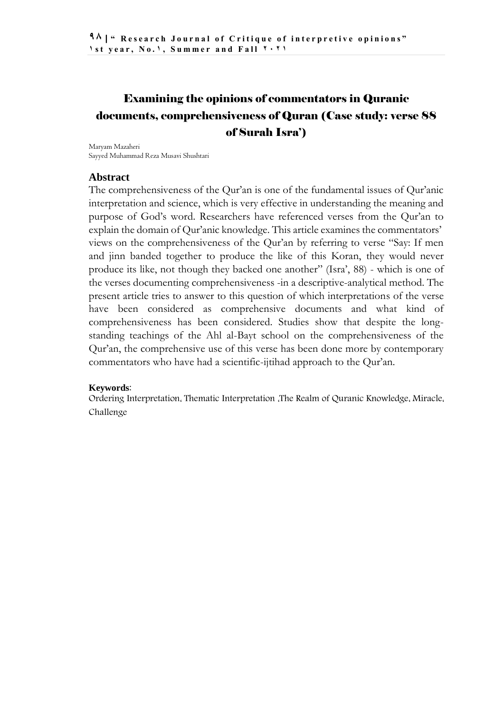# Examining the opinions of commentators in Quranic documents, comprehensiveness of Quran (Case study: verse 88 of Surah Isra')

Maryam Mazaheri Sayyed Muhammad Reza Musavi Shushtari

### **Abstract**

The comprehensiveness of the Qur'an is one of the fundamental issues of Qur'anic interpretation and science, which is very effective in understanding the meaning and purpose of God's word. Researchers have referenced verses from the Qur'an to explain the domain of Qur'anic knowledge. This article examines the commentators' views on the comprehensiveness of the Qur'an by referring to verse "Say: If men and jinn banded together to produce the like of this Koran, they would never produce its like, not though they backed one another" (Isra', 88) - which is one of the verses documenting comprehensiveness -in a descriptive-analytical method. The present article tries to answer to this question of which interpretations of the verse have been considered as comprehensive documents and what kind of comprehensiveness has been considered. Studies show that despite the longstanding teachings of the Ahl al-Bayt school on the comprehensiveness of the Qur'an, the comprehensive use of this verse has been done more by contemporary commentators who have had a scientific-ijtihad approach to the Qur'an.

#### **Keywords**:

Ordering Interpretation, Thematic Interpretation ,The Realm of Quranic Knowledge, Miracle, Challenge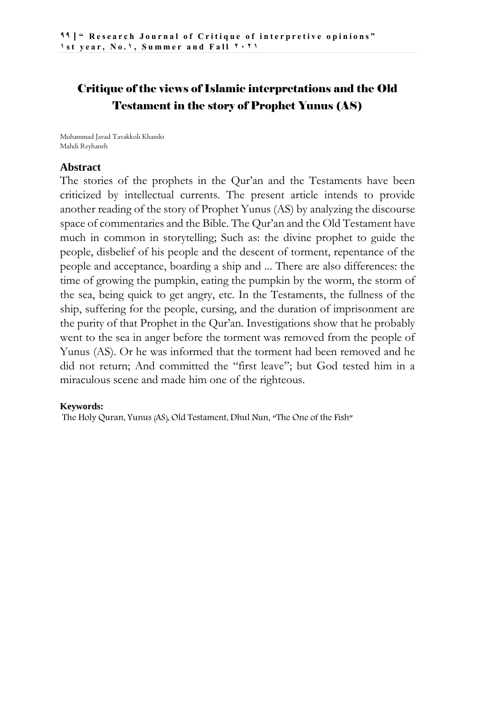### Critique of the views of Islamic interpretations and the Old Testament in the story of Prophet Yunus (AS)

Muhammad Javad Tavakkoli Khaniki Mahdi Reyhaneh

#### **Abstract**

The stories of the prophets in the Qur'an and the Testaments have been criticized by intellectual currents. The present article intends to provide another reading of the story of Prophet Yunus (AS) by analyzing the discourse space of commentaries and the Bible. The Qur'an and the Old Testament have much in common in storytelling; Such as: the divine prophet to guide the people, disbelief of his people and the descent of torment, repentance of the people and acceptance, boarding a ship and ... There are also differences: the time of growing the pumpkin, eating the pumpkin by the worm, the storm of the sea, being quick to get angry, etc. In the Testaments, the fullness of the ship, suffering for the people, cursing, and the duration of imprisonment are the purity of that Prophet in the Qur'an. Investigations show that he probably went to the sea in anger before the torment was removed from the people of Yunus (AS). Or he was informed that the torment had been removed and he did not return; And committed the "first leave"; but God tested him in a miraculous scene and made him one of the righteous.

#### **Keywords:**

The Holy Quran, Yunus (AS), Old Testament, Dhul Nun, "The One of the Fish"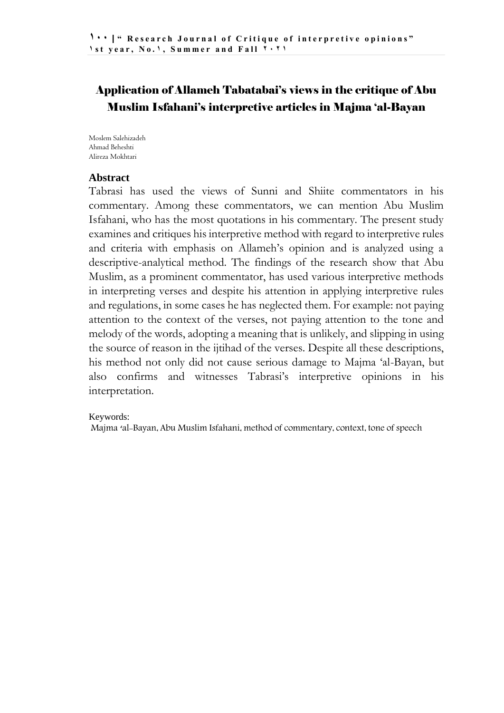### Application of Allameh Tabatabai's views in the critique of Abu Muslim Isfahani's interpretive articles in Majma 'al-Bayan

Moslem Salehizadeh Ahmad Beheshti Alireza Mokhtari

### **Abstract**

Tabrasi has used the views of Sunni and Shiite commentators in his commentary. Among these commentators, we can mention Abu Muslim Isfahani, who has the most quotations in his commentary. The present study examines and critiques his interpretive method with regard to interpretive rules and criteria with emphasis on Allameh's opinion and is analyzed using a descriptive-analytical method. The findings of the research show that Abu Muslim, as a prominent commentator, has used various interpretive methods in interpreting verses and despite his attention in applying interpretive rules and regulations, in some cases he has neglected them. For example: not paying attention to the context of the verses, not paying attention to the tone and melody of the words, adopting a meaning that is unlikely, and slipping in using the source of reason in the ijtihad of the verses. Despite all these descriptions, his method not only did not cause serious damage to Majma 'al-Bayan, but also confirms and witnesses Tabrasi's interpretive opinions in his interpretation.

### Keywords:

Majma 'al-Bayan, Abu Muslim Isfahani, method of commentary, context, tone of speech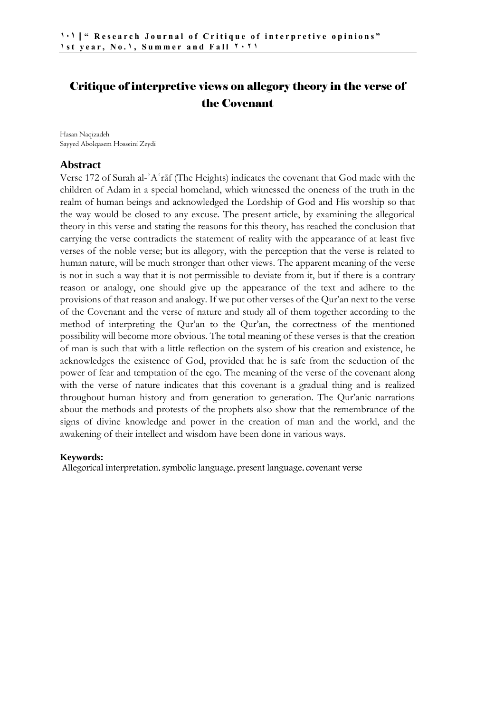### Critique of interpretive views on allegory theory in the verse of the Covenant

Hasan Naqizadeh Sayyed Abolqasem Hosseini Zeydi

#### **Abstract**

Verse 172 of Surah al-ʾAʿrāf (The Heights) indicates the covenant that God made with the children of Adam in a special homeland, which witnessed the oneness of the truth in the realm of human beings and acknowledged the Lordship of God and His worship so that the way would be closed to any excuse. The present article, by examining the allegorical theory in this verse and stating the reasons for this theory, has reached the conclusion that carrying the verse contradicts the statement of reality with the appearance of at least five verses of the noble verse; but its allegory, with the perception that the verse is related to human nature, will be much stronger than other views. The apparent meaning of the verse is not in such a way that it is not permissible to deviate from it, but if there is a contrary reason or analogy, one should give up the appearance of the text and adhere to the provisions of that reason and analogy. If we put other verses of the Qur'an next to the verse of the Covenant and the verse of nature and study all of them together according to the method of interpreting the Qur'an to the Qur'an, the correctness of the mentioned possibility will become more obvious. The total meaning of these verses is that the creation of man is such that with a little reflection on the system of his creation and existence, he acknowledges the existence of God, provided that he is safe from the seduction of the power of fear and temptation of the ego. The meaning of the verse of the covenant along with the verse of nature indicates that this covenant is a gradual thing and is realized throughout human history and from generation to generation. The Qur'anic narrations about the methods and protests of the prophets also show that the remembrance of the signs of divine knowledge and power in the creation of man and the world, and the awakening of their intellect and wisdom have been done in various ways.

#### **Keywords:**

Allegorical interpretation, symbolic language, present language, covenant verse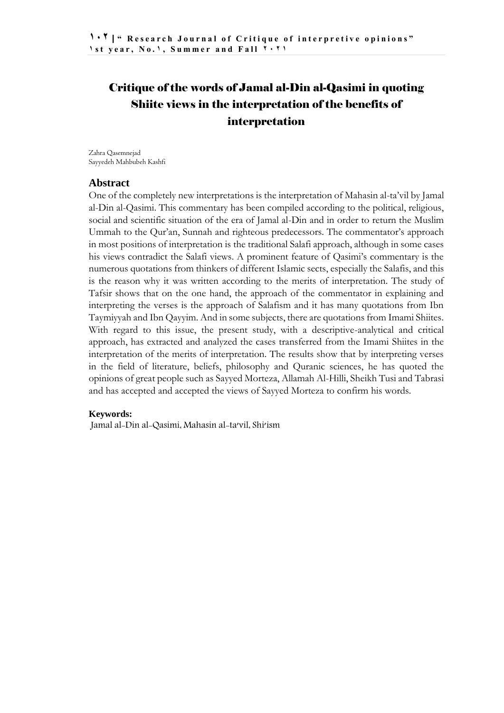# Critique of the words of Jamal al-Din al-Qasimi in quoting Shiite views in the interpretation of the benefits of interpretation

Zahra Qasemnejad Sayyedeh Mahbubeh Kashfi

#### **Abstract**

One of the completely new interpretations is the interpretation of Mahasin al-ta'vil by Jamal al-Din al-Qasimi. This commentary has been compiled according to the political, religious, social and scientific situation of the era of Jamal al-Din and in order to return the Muslim Ummah to the Qur'an, Sunnah and righteous predecessors. The commentator's approach in most positions of interpretation is the traditional Salafi approach, although in some cases his views contradict the Salafi views. A prominent feature of Qasimi's commentary is the numerous quotations from thinkers of different Islamic sects, especially the Salafis, and this is the reason why it was written according to the merits of interpretation. The study of Tafsir shows that on the one hand, the approach of the commentator in explaining and interpreting the verses is the approach of Salafism and it has many quotations from Ibn Taymiyyah and Ibn Qayyim. And in some subjects, there are quotations from Imami Shiites. With regard to this issue, the present study, with a descriptive-analytical and critical approach, has extracted and analyzed the cases transferred from the Imami Shiites in the interpretation of the merits of interpretation. The results show that by interpreting verses in the field of literature, beliefs, philosophy and Quranic sciences, he has quoted the opinions of great people such as Sayyed Morteza, Allamah Al-Hilli, Sheikh Tusi and Tabrasi and has accepted and accepted the views of Sayyed Morteza to confirm his words.

#### **Keywords:**

Jamal al-Din al-Qasimi, Mahasin al-ta'vil, Shi'ism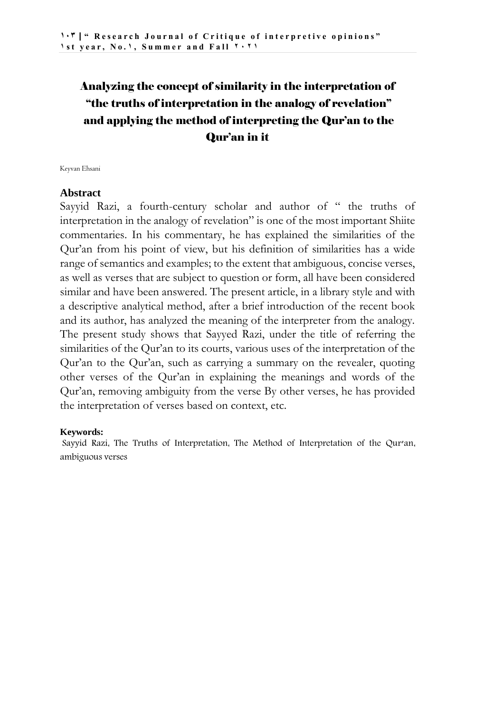# Analyzing the concept of similarity in the interpretation of "the truths of interpretation in the analogy of revelation" and applying the method of interpreting the Qur'an to the Qur'an in it

Keyvan Ehsani

#### **Abstract**

Sayyid Razi, a fourth-century scholar and author of " the truths of interpretation in the analogy of revelation" is one of the most important Shiite commentaries. In his commentary, he has explained the similarities of the Qur'an from his point of view, but his definition of similarities has a wide range of semantics and examples; to the extent that ambiguous, concise verses, as well as verses that are subject to question or form, all have been considered similar and have been answered. The present article, in a library style and with a descriptive analytical method, after a brief introduction of the recent book and its author, has analyzed the meaning of the interpreter from the analogy. The present study shows that Sayyed Razi, under the title of referring the similarities of the Qur'an to its courts, various uses of the interpretation of the Qur'an to the Qur'an, such as carrying a summary on the revealer, quoting other verses of the Qur'an in explaining the meanings and words of the Qur'an, removing ambiguity from the verse By other verses, he has provided the interpretation of verses based on context, etc.

#### **Keywords:**

Sayyid Razi, The Truths of Interpretation, The Method of Interpretation of the Qur'an, ambiguous verses